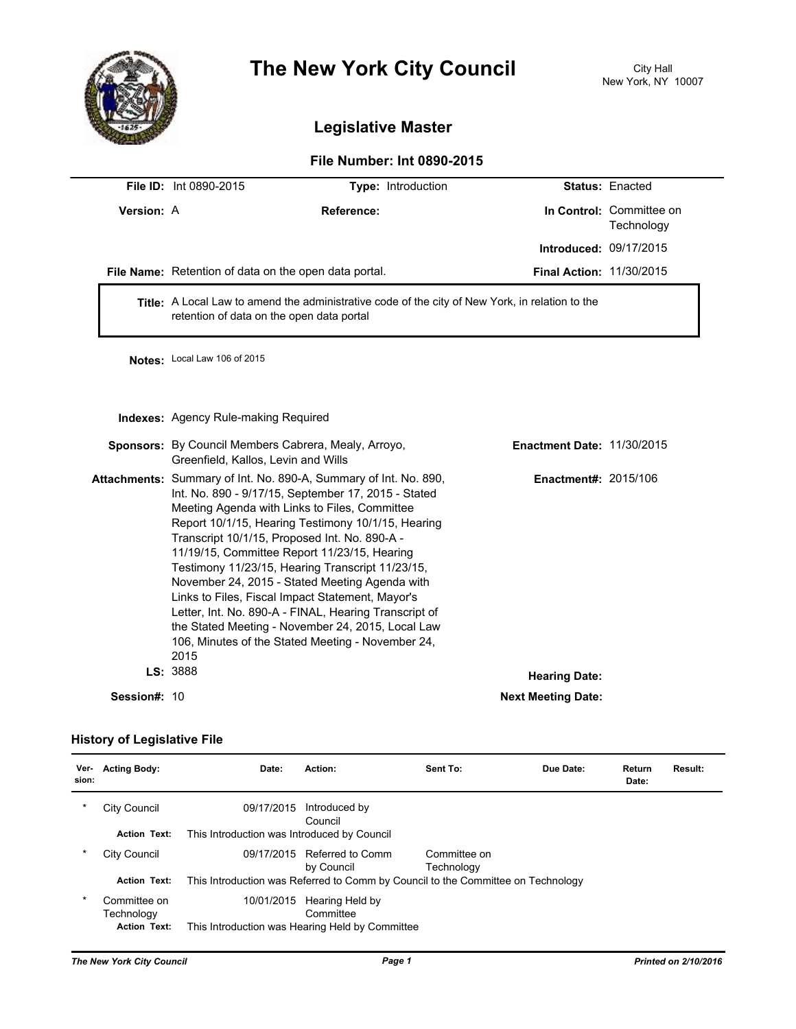

# **The New York City Council**

## **Legislative Master**

#### **File Number: Int 0890-2015**

|                     | <b>File ID: Int 0890-2015</b>                                                                                                                | Type: Introduction                                                                                                                                                                                                                                                                                                                                                                                                                                                                                                                                                                                                                                           |                                 | <b>Status: Enacted</b>                 |
|---------------------|----------------------------------------------------------------------------------------------------------------------------------------------|--------------------------------------------------------------------------------------------------------------------------------------------------------------------------------------------------------------------------------------------------------------------------------------------------------------------------------------------------------------------------------------------------------------------------------------------------------------------------------------------------------------------------------------------------------------------------------------------------------------------------------------------------------------|---------------------------------|----------------------------------------|
| Version: A          |                                                                                                                                              | Reference:                                                                                                                                                                                                                                                                                                                                                                                                                                                                                                                                                                                                                                                   |                                 | In Control: Committee on<br>Technology |
|                     |                                                                                                                                              |                                                                                                                                                                                                                                                                                                                                                                                                                                                                                                                                                                                                                                                              | <b>Introduced: 09/17/2015</b>   |                                        |
|                     | File Name: Retention of data on the open data portal.                                                                                        |                                                                                                                                                                                                                                                                                                                                                                                                                                                                                                                                                                                                                                                              | <b>Final Action: 11/30/2015</b> |                                        |
|                     | Title: A Local Law to amend the administrative code of the city of New York, in relation to the<br>retention of data on the open data portal |                                                                                                                                                                                                                                                                                                                                                                                                                                                                                                                                                                                                                                                              |                                 |                                        |
|                     | Notes: Local Law 106 of 2015                                                                                                                 |                                                                                                                                                                                                                                                                                                                                                                                                                                                                                                                                                                                                                                                              |                                 |                                        |
|                     | <b>Indexes:</b> Agency Rule-making Required                                                                                                  |                                                                                                                                                                                                                                                                                                                                                                                                                                                                                                                                                                                                                                                              |                                 |                                        |
|                     | Sponsors: By Council Members Cabrera, Mealy, Arroyo,<br><b>Enactment Date: 11/30/2015</b><br>Greenfield, Kallos, Levin and Wills             |                                                                                                                                                                                                                                                                                                                                                                                                                                                                                                                                                                                                                                                              |                                 |                                        |
|                     | 2015                                                                                                                                         | Attachments: Summary of Int. No. 890-A, Summary of Int. No. 890,<br>Int. No. 890 - 9/17/15, September 17, 2015 - Stated<br>Meeting Agenda with Links to Files, Committee<br>Report 10/1/15, Hearing Testimony 10/1/15, Hearing<br>Transcript 10/1/15, Proposed Int. No. 890-A -<br>11/19/15, Committee Report 11/23/15, Hearing<br>Testimony 11/23/15, Hearing Transcript 11/23/15,<br>November 24, 2015 - Stated Meeting Agenda with<br>Links to Files, Fiscal Impact Statement, Mayor's<br>Letter, Int. No. 890-A - FINAL, Hearing Transcript of<br>the Stated Meeting - November 24, 2015, Local Law<br>106, Minutes of the Stated Meeting - November 24, | <b>Enactment#: 2015/106</b>     |                                        |
|                     | LS: 3888<br><b>Hearing Date:</b>                                                                                                             |                                                                                                                                                                                                                                                                                                                                                                                                                                                                                                                                                                                                                                                              |                                 |                                        |
| <b>Session#: 10</b> |                                                                                                                                              |                                                                                                                                                                                                                                                                                                                                                                                                                                                                                                                                                                                                                                                              | <b>Next Meeting Date:</b>       |                                        |

### **History of Legislative File**

| Ver-<br>sion: | <b>Acting Body:</b>                               | Date:                                       | Action:                                                                          | Sent To:                   | Due Date: | Return<br>Date: | Result: |
|---------------|---------------------------------------------------|---------------------------------------------|----------------------------------------------------------------------------------|----------------------------|-----------|-----------------|---------|
| *             | City Council                                      | 09/17/2015                                  | Introduced by<br>Council                                                         |                            |           |                 |         |
|               | <b>Action Text:</b>                               | This Introduction was Introduced by Council |                                                                                  |                            |           |                 |         |
| *             | City Council                                      | 09/17/2015                                  | Referred to Comm<br>by Council                                                   | Committee on<br>Technology |           |                 |         |
|               | <b>Action Text:</b>                               |                                             | This Introduction was Referred to Comm by Council to the Committee on Technology |                            |           |                 |         |
| $\ast$        | Committee on<br>Technology<br><b>Action Text:</b> | 10/01/2015                                  | Hearing Held by<br>Committee<br>This Introduction was Hearing Held by Committee  |                            |           |                 |         |